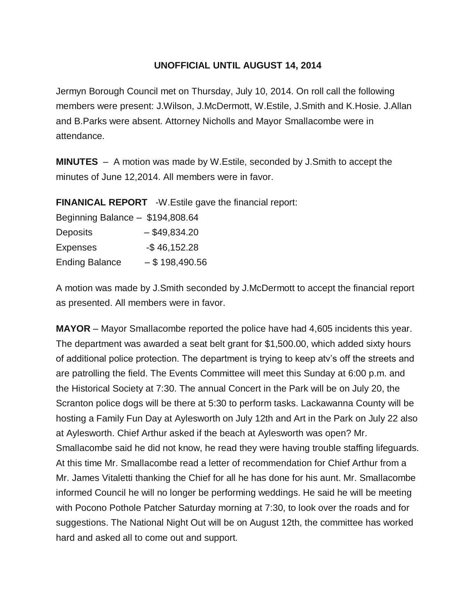### **UNOFFICIAL UNTIL AUGUST 14, 2014**

Jermyn Borough Council met on Thursday, July 10, 2014. On roll call the following members were present: J.Wilson, J.McDermott, W.Estile, J.Smith and K.Hosie. J.Allan and B.Parks were absent. Attorney Nicholls and Mayor Smallacombe were in attendance.

**MINUTES** – A motion was made by W.Estile, seconded by J.Smith to accept the minutes of June 12,2014. All members were in favor.

**FINANICAL REPORT** -W.Estile gave the financial report:

| Beginning Balance - \$194,808.64 |                  |
|----------------------------------|------------------|
| <b>Deposits</b>                  | $-$ \$49,834.20  |
| <b>Expenses</b>                  | $-$46,152.28$    |
| <b>Ending Balance</b>            | $-$ \$198,490.56 |

A motion was made by J.Smith seconded by J.McDermott to accept the financial report as presented. All members were in favor.

**MAYOR** – Mayor Smallacombe reported the police have had 4,605 incidents this year. The department was awarded a seat belt grant for \$1,500.00, which added sixty hours of additional police protection. The department is trying to keep atv's off the streets and are patrolling the field. The Events Committee will meet this Sunday at 6:00 p.m. and the Historical Society at 7:30. The annual Concert in the Park will be on July 20, the Scranton police dogs will be there at 5:30 to perform tasks. Lackawanna County will be hosting a Family Fun Day at Aylesworth on July 12th and Art in the Park on July 22 also at Aylesworth. Chief Arthur asked if the beach at Aylesworth was open? Mr. Smallacombe said he did not know, he read they were having trouble staffing lifeguards. At this time Mr. Smallacombe read a letter of recommendation for Chief Arthur from a Mr. James Vitaletti thanking the Chief for all he has done for his aunt. Mr. Smallacombe informed Council he will no longer be performing weddings. He said he will be meeting with Pocono Pothole Patcher Saturday morning at 7:30, to look over the roads and for suggestions. The National Night Out will be on August 12th, the committee has worked hard and asked all to come out and support.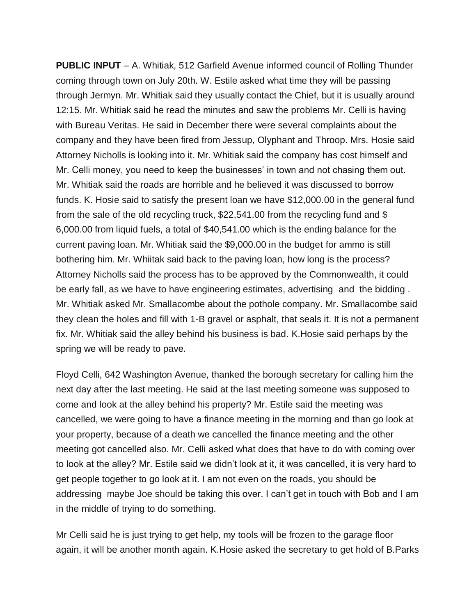**PUBLIC INPUT** – A. Whitiak, 512 Garfield Avenue informed council of Rolling Thunder coming through town on July 20th. W. Estile asked what time they will be passing through Jermyn. Mr. Whitiak said they usually contact the Chief, but it is usually around 12:15. Mr. Whitiak said he read the minutes and saw the problems Mr. Celli is having with Bureau Veritas. He said in December there were several complaints about the company and they have been fired from Jessup, Olyphant and Throop. Mrs. Hosie said Attorney Nicholls is looking into it. Mr. Whitiak said the company has cost himself and Mr. Celli money, you need to keep the businesses' in town and not chasing them out. Mr. Whitiak said the roads are horrible and he believed it was discussed to borrow funds. K. Hosie said to satisfy the present loan we have \$12,000.00 in the general fund from the sale of the old recycling truck, \$22,541.00 from the recycling fund and \$ 6,000.00 from liquid fuels, a total of \$40,541.00 which is the ending balance for the current paving loan. Mr. Whitiak said the \$9,000.00 in the budget for ammo is still bothering him. Mr. Whiitak said back to the paving loan, how long is the process? Attorney Nicholls said the process has to be approved by the Commonwealth, it could be early fall, as we have to have engineering estimates, advertising and the bidding . Mr. Whitiak asked Mr. Smallacombe about the pothole company. Mr. Smallacombe said they clean the holes and fill with 1-B gravel or asphalt, that seals it. It is not a permanent fix. Mr. Whitiak said the alley behind his business is bad. K.Hosie said perhaps by the spring we will be ready to pave.

Floyd Celli, 642 Washington Avenue, thanked the borough secretary for calling him the next day after the last meeting. He said at the last meeting someone was supposed to come and look at the alley behind his property? Mr. Estile said the meeting was cancelled, we were going to have a finance meeting in the morning and than go look at your property, because of a death we cancelled the finance meeting and the other meeting got cancelled also. Mr. Celli asked what does that have to do with coming over to look at the alley? Mr. Estile said we didn't look at it, it was cancelled, it is very hard to get people together to go look at it. I am not even on the roads, you should be addressing maybe Joe should be taking this over. I can't get in touch with Bob and I am in the middle of trying to do something.

Mr Celli said he is just trying to get help, my tools will be frozen to the garage floor again, it will be another month again. K.Hosie asked the secretary to get hold of B.Parks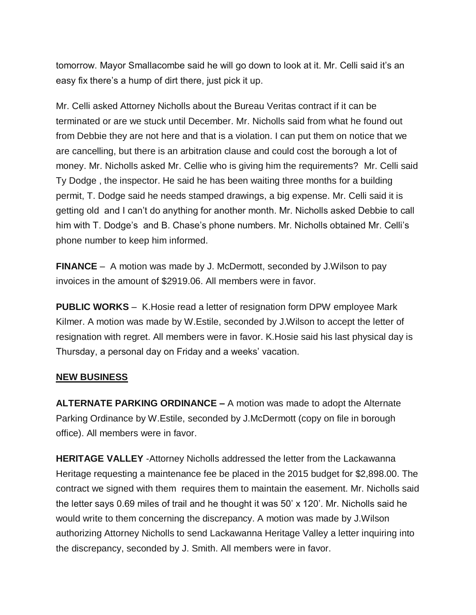tomorrow. Mayor Smallacombe said he will go down to look at it. Mr. Celli said it's an easy fix there's a hump of dirt there, just pick it up.

Mr. Celli asked Attorney Nicholls about the Bureau Veritas contract if it can be terminated or are we stuck until December. Mr. Nicholls said from what he found out from Debbie they are not here and that is a violation. I can put them on notice that we are cancelling, but there is an arbitration clause and could cost the borough a lot of money. Mr. Nicholls asked Mr. Cellie who is giving him the requirements? Mr. Celli said Ty Dodge , the inspector. He said he has been waiting three months for a building permit, T. Dodge said he needs stamped drawings, a big expense. Mr. Celli said it is getting old and I can't do anything for another month. Mr. Nicholls asked Debbie to call him with T. Dodge's and B. Chase's phone numbers. Mr. Nicholls obtained Mr. Celli's phone number to keep him informed.

**FINANCE** – A motion was made by J. McDermott, seconded by J.Wilson to pay invoices in the amount of \$2919.06. All members were in favor.

**PUBLIC WORKS** – K.Hosie read a letter of resignation form DPW employee Mark Kilmer. A motion was made by W.Estile, seconded by J.Wilson to accept the letter of resignation with regret. All members were in favor. K.Hosie said his last physical day is Thursday, a personal day on Friday and a weeks' vacation.

### **NEW BUSINESS**

**ALTERNATE PARKING ORDINANCE –** A motion was made to adopt the Alternate Parking Ordinance by W.Estile, seconded by J.McDermott (copy on file in borough office). All members were in favor.

**HERITAGE VALLEY** -Attorney Nicholls addressed the letter from the Lackawanna Heritage requesting a maintenance fee be placed in the 2015 budget for \$2,898.00. The contract we signed with them requires them to maintain the easement. Mr. Nicholls said the letter says 0.69 miles of trail and he thought it was 50' x 120'. Mr. Nicholls said he would write to them concerning the discrepancy. A motion was made by J.Wilson authorizing Attorney Nicholls to send Lackawanna Heritage Valley a letter inquiring into the discrepancy, seconded by J. Smith. All members were in favor.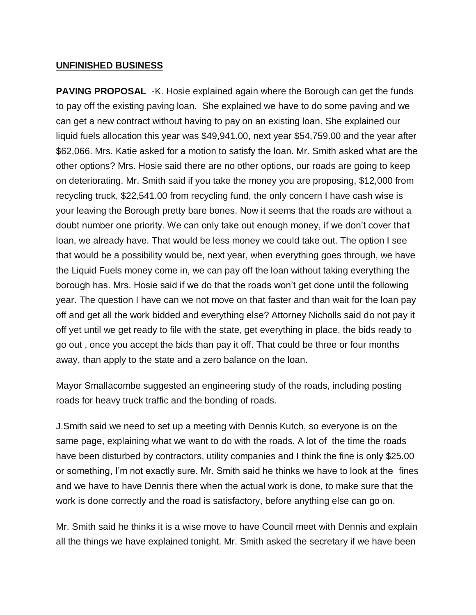### **UNFINISHED BUSINESS**

**PAVING PROPOSAL** -K. Hosie explained again where the Borough can get the funds to pay off the existing paving loan. She explained we have to do some paving and we can get a new contract without having to pay on an existing loan. She explained our liquid fuels allocation this year was \$49,941.00, next year \$54,759.00 and the year after \$62,066. Mrs. Katie asked for a motion to satisfy the loan. Mr. Smith asked what are the other options? Mrs. Hosie said there are no other options, our roads are going to keep on deteriorating. Mr. Smith said if you take the money you are proposing, \$12,000 from recycling truck, \$22,541.00 from recycling fund, the only concern I have cash wise is your leaving the Borough pretty bare bones. Now it seems that the roads are without a doubt number one priority. We can only take out enough money, if we don't cover that loan, we already have. That would be less money we could take out. The option I see that would be a possibility would be, next year, when everything goes through, we have the Liquid Fuels money come in, we can pay off the loan without taking everything the borough has. Mrs. Hosie said if we do that the roads won't get done until the following year. The question I have can we not move on that faster and than wait for the loan pay off and get all the work bidded and everything else? Attorney Nicholls said do not pay it off yet until we get ready to file with the state, get everything in place, the bids ready to go out , once you accept the bids than pay it off. That could be three or four months away, than apply to the state and a zero balance on the loan.

Mayor Smallacombe suggested an engineering study of the roads, including posting roads for heavy truck traffic and the bonding of roads.

J.Smith said we need to set up a meeting with Dennis Kutch, so everyone is on the same page, explaining what we want to do with the roads. A lot of the time the roads have been disturbed by contractors, utility companies and I think the fine is only \$25.00 or something, I'm not exactly sure. Mr. Smith said he thinks we have to look at the fines and we have to have Dennis there when the actual work is done, to make sure that the work is done correctly and the road is satisfactory, before anything else can go on.

Mr. Smith said he thinks it is a wise move to have Council meet with Dennis and explain all the things we have explained tonight. Mr. Smith asked the secretary if we have been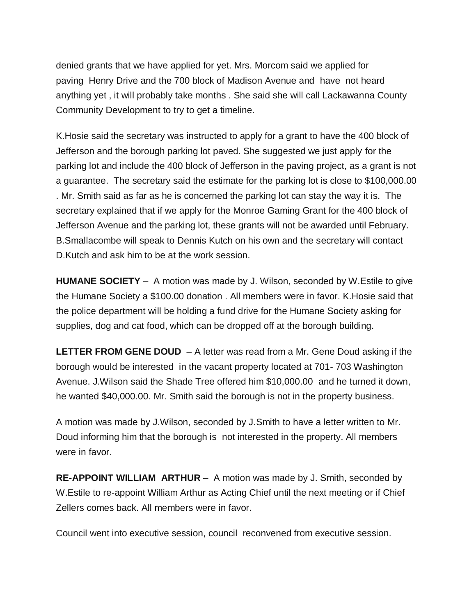denied grants that we have applied for yet. Mrs. Morcom said we applied for paving Henry Drive and the 700 block of Madison Avenue and have not heard anything yet , it will probably take months . She said she will call Lackawanna County Community Development to try to get a timeline.

K.Hosie said the secretary was instructed to apply for a grant to have the 400 block of Jefferson and the borough parking lot paved. She suggested we just apply for the parking lot and include the 400 block of Jefferson in the paving project, as a grant is not a guarantee. The secretary said the estimate for the parking lot is close to \$100,000.00 . Mr. Smith said as far as he is concerned the parking lot can stay the way it is. The secretary explained that if we apply for the Monroe Gaming Grant for the 400 block of Jefferson Avenue and the parking lot, these grants will not be awarded until February. B.Smallacombe will speak to Dennis Kutch on his own and the secretary will contact D.Kutch and ask him to be at the work session.

**HUMANE SOCIETY** – A motion was made by J. Wilson, seconded by W.Estile to give the Humane Society a \$100.00 donation . All members were in favor. K.Hosie said that the police department will be holding a fund drive for the Humane Society asking for supplies, dog and cat food, which can be dropped off at the borough building.

**LETTER FROM GENE DOUD** – A letter was read from a Mr. Gene Doud asking if the borough would be interested in the vacant property located at 701- 703 Washington Avenue. J.Wilson said the Shade Tree offered him \$10,000.00 and he turned it down, he wanted \$40,000.00. Mr. Smith said the borough is not in the property business.

A motion was made by J.Wilson, seconded by J.Smith to have a letter written to Mr. Doud informing him that the borough is not interested in the property. All members were in favor.

**RE-APPOINT WILLIAM ARTHUR** – A motion was made by J. Smith, seconded by W.Estile to re-appoint William Arthur as Acting Chief until the next meeting or if Chief Zellers comes back. All members were in favor.

Council went into executive session, council reconvened from executive session.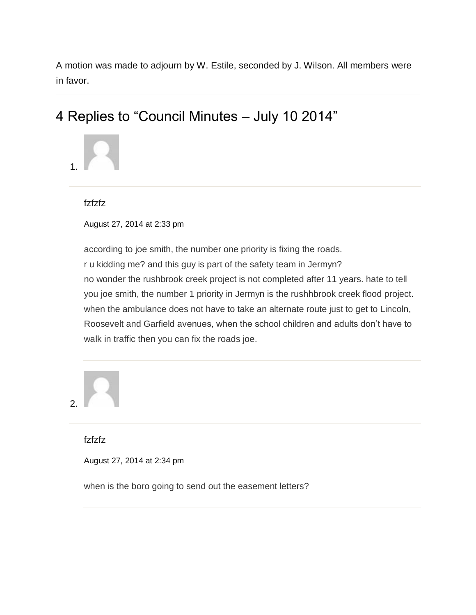A motion was made to adjourn by W. Estile, seconded by J. Wilson. All members were in favor.

# 4 Replies to "Council Minutes – July 10 2014"



fzfzfz

August 27, 2014 at 2:33 pm

according to joe smith, the number one priority is fixing the roads. r u kidding me? and this guy is part of the safety team in Jermyn? no wonder the rushbrook creek project is not completed after 11 years. hate to tell you joe smith, the number 1 priority in Jermyn is the rushhbrook creek flood project. when the ambulance does not have to take an alternate route just to get to Lincoln, Roosevelt and Garfield avenues, when the school children and adults don't have to walk in traffic then you can fix the roads joe.

2.

fzfzfz

August 27, 2014 at 2:34 pm

when is the boro going to send out the easement letters?